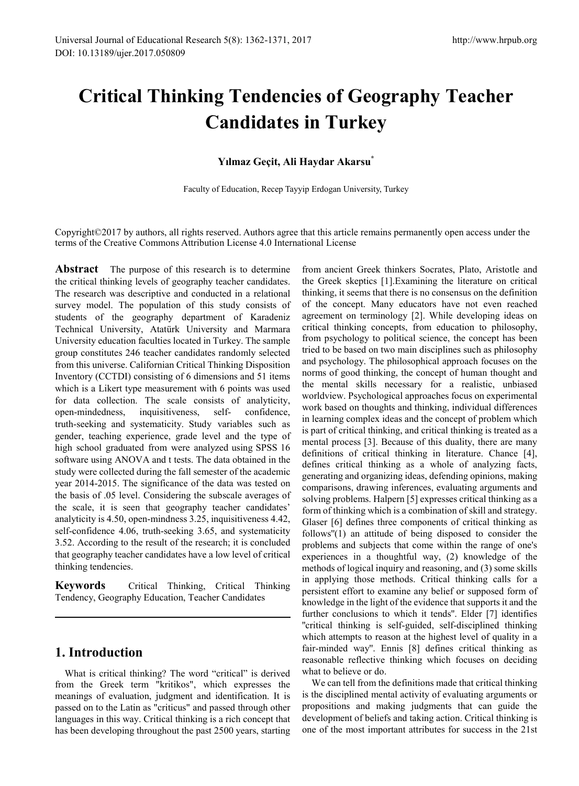# **Critical Thinking Tendencies of Geography Teacher Candidates in Turkey**

### **Yılmaz Geçit, Ali Haydar Akarsu\***

Faculty of Education, Recep Tayyip Erdogan University, Turkey

Copyright©2017 by authors, all rights reserved. Authors agree that this article remains permanently open access under the terms of the Creative Commons Attribution License 4.0 International License

**Abstract** The purpose of this research is to determine the critical thinking levels of geography teacher candidates. The research was descriptive and conducted in a relational survey model. The population of this study consists of students of the geography department of Karadeniz Technical University, Atatürk University and Marmara University education faculties located in Turkey. The sample group constitutes 246 teacher candidates randomly selected from this universe. Californian Critical Thinking Disposition Inventory (CCTDI) consisting of 6 dimensions and 51 items which is a Likert type measurement with 6 points was used for data collection. The scale consists of analyticity, open-mindedness, inquisitiveness, self- confidence, truth-seeking and systematicity. Study variables such as gender, teaching experience, grade level and the type of high school graduated from were analyzed using SPSS 16 software using ANOVA and t tests. The data obtained in the study were collected during the fall semester of the academic year 2014-2015. The significance of the data was tested on the basis of .05 level. Considering the subscale averages of the scale, it is seen that geography teacher candidates' analyticity is 4.50, open-mindness 3.25, inquisitiveness 4.42, self-confidence 4.06, truth-seeking 3.65, and systematicity 3.52. According to the result of the research; it is concluded that geography teacher candidates have a low level of critical thinking tendencies.

**Keywords** Critical Thinking, Critical Thinking Tendency, Geography Education, Teacher Candidates

# **1. Introduction**

What is critical thinking? The word "critical" is derived from the Greek term "kritikos", which expresses the meanings of evaluation, judgment and identification. It is passed on to the Latin as "criticus" and passed through other languages in this way. Critical thinking is a rich concept that has been developing throughout the past 2500 years, starting

from ancient Greek thinkers Socrates, Plato, Aristotle and the Greek skeptics [1].Examining the literature on critical thinking, it seems that there is no consensus on the definition of the concept. Many educators have not even reached agreement on terminology [2]. While developing ideas on critical thinking concepts, from education to philosophy, from psychology to political science, the concept has been tried to be based on two main disciplines such as philosophy and psychology. The philosophical approach focuses on the norms of good thinking, the concept of human thought and the mental skills necessary for a realistic, unbiased worldview. Psychological approaches focus on experimental work based on thoughts and thinking, individual differences in learning complex ideas and the concept of problem which is part of critical thinking, and critical thinking is treated as a mental process [3]. Because of this duality, there are many definitions of critical thinking in literature. Chance [4], defines critical thinking as a whole of analyzing facts, generating and organizing ideas, defending opinions, making comparisons, drawing inferences, evaluating arguments and solving problems. Halpern [5] expresses critical thinking as a form of thinking which is a combination of skill and strategy. Glaser [6] defines three components of critical thinking as follows''(1) an attitude of being disposed to consider the problems and subjects that come within the range of one's experiences in a thoughtful way, (2) knowledge of the methods of logical inquiry and reasoning, and (3) some skills in applying those methods. Critical thinking calls for a persistent effort to examine any belief or supposed form of knowledge in the light of the evidence that supports it and the further conclusions to which it tends''. Elder [7] identifies ''critical thinking is self-guided, self-disciplined thinking which attempts to reason at the highest level of quality in a fair-minded way''. Ennis [8] defines critical thinking as reasonable reflective thinking which focuses on deciding what to believe or do.

We can tell from the definitions made that critical thinking is the disciplined mental activity of evaluating arguments or propositions and making judgments that can guide the development of beliefs and taking action. Critical thinking is one of the most important attributes for success in the 21st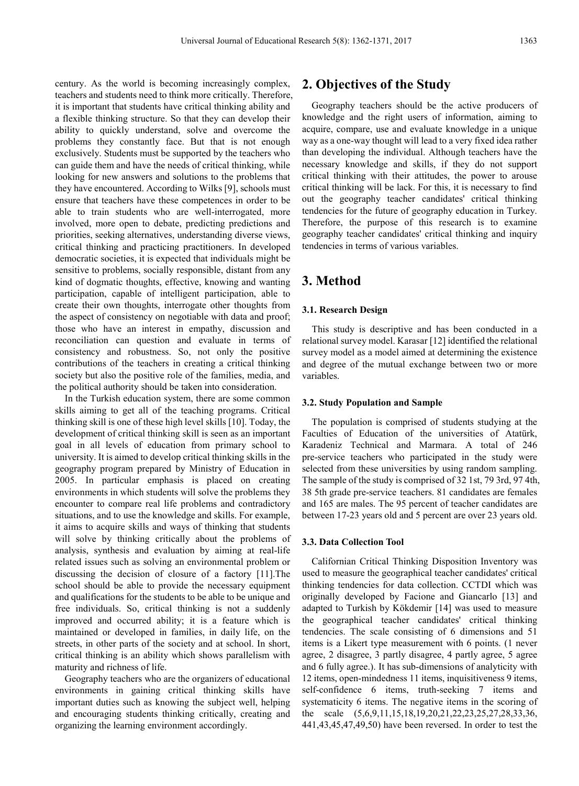century. As the world is becoming increasingly complex, teachers and students need to think more critically. Therefore, it is important that students have critical thinking ability and a flexible thinking structure. So that they can develop their ability to quickly understand, solve and overcome the problems they constantly face. But that is not enough exclusively. Students must be supported by the teachers who can guide them and have the needs of critical thinking, while looking for new answers and solutions to the problems that they have encountered. According to Wilks [9], schools must ensure that teachers have these competences in order to be able to train students who are well-interrogated, more involved, more open to debate, predicting predictions and priorities, seeking alternatives, understanding diverse views, critical thinking and practicing practitioners. In developed democratic societies, it is expected that individuals might be sensitive to problems, socially responsible, distant from any kind of dogmatic thoughts, effective, knowing and wanting participation, capable of intelligent participation, able to create their own thoughts, interrogate other thoughts from the aspect of consistency on negotiable with data and proof; those who have an interest in empathy, discussion and reconciliation can question and evaluate in terms of consistency and robustness. So, not only the positive contributions of the teachers in creating a critical thinking society but also the positive role of the families, media, and the political authority should be taken into consideration.

In the Turkish education system, there are some common skills aiming to get all of the teaching programs. Critical thinking skill is one of these high level skills [10]. Today, the development of critical thinking skill is seen as an important goal in all levels of education from primary school to university. It is aimed to develop critical thinking skills in the geography program prepared by Ministry of Education in 2005. In particular emphasis is placed on creating environments in which students will solve the problems they encounter to compare real life problems and contradictory situations, and to use the knowledge and skills. For example, it aims to acquire skills and ways of thinking that students will solve by thinking critically about the problems of analysis, synthesis and evaluation by aiming at real-life related issues such as solving an environmental problem or discussing the decision of closure of a factory [11].The school should be able to provide the necessary equipment and qualifications for the students to be able to be unique and free individuals. So, critical thinking is not a suddenly improved and occurred ability; it is a feature which is maintained or developed in families, in daily life, on the streets, in other parts of the society and at school. In short, critical thinking is an ability which shows parallelism with maturity and richness of life.

Geography teachers who are the organizers of educational environments in gaining critical thinking skills have important duties such as knowing the subject well, helping and encouraging students thinking critically, creating and organizing the learning environment accordingly.

# **2. Objectives of the Study**

Geography teachers should be the active producers of knowledge and the right users of information, aiming to acquire, compare, use and evaluate knowledge in a unique way as a one-way thought will lead to a very fixed idea rather than developing the individual. Although teachers have the necessary knowledge and skills, if they do not support critical thinking with their attitudes, the power to arouse critical thinking will be lack. For this, it is necessary to find out the geography teacher candidates' critical thinking tendencies for the future of geography education in Turkey. Therefore, the purpose of this research is to examine geography teacher candidates' critical thinking and inquiry tendencies in terms of various variables.

# **3. Method**

#### **3.1. Research Design**

This study is descriptive and has been conducted in a relational survey model. Karasar [12] identified the relational survey model as a model aimed at determining the existence and degree of the mutual exchange between two or more variables.

#### **3.2. Study Population and Sample**

The population is comprised of students studying at the Faculties of Education of the universities of Atatürk, Karadeniz Technical and Marmara. A total of 246 pre-service teachers who participated in the study were selected from these universities by using random sampling. The sample of the study is comprised of 32 1st, 79 3rd, 97 4th, 38 5th grade pre-service teachers. 81 candidates are females and 165 are males. The 95 percent of teacher candidates are between 17-23 years old and 5 percent are over 23 years old.

#### **3.3. Data Collection Tool**

Californian Critical Thinking Disposition Inventory was used to measure the geographical teacher candidates' critical thinking tendencies for data collection. CCTDI which was originally developed by Facione and Giancarlo [13] and adapted to Turkish by Kökdemir [14] was used to measure the geographical teacher candidates' critical thinking tendencies. The scale consisting of 6 dimensions and 51 items is a Likert type measurement with 6 points. (1 never agree, 2 disagree, 3 partly disagree, 4 partly agree, 5 agree and 6 fully agree.). It has sub-dimensions of analyticity with 12 items, open-mindedness 11 items, inquisitiveness 9 items, self-confidence 6 items, truth-seeking 7 items and systematicity 6 items. The negative items in the scoring of the scale (5,6,9,11,15,18,19,20,21,22,23,25,27,28,33,36, 441,43,45,47,49,50) have been reversed. In order to test the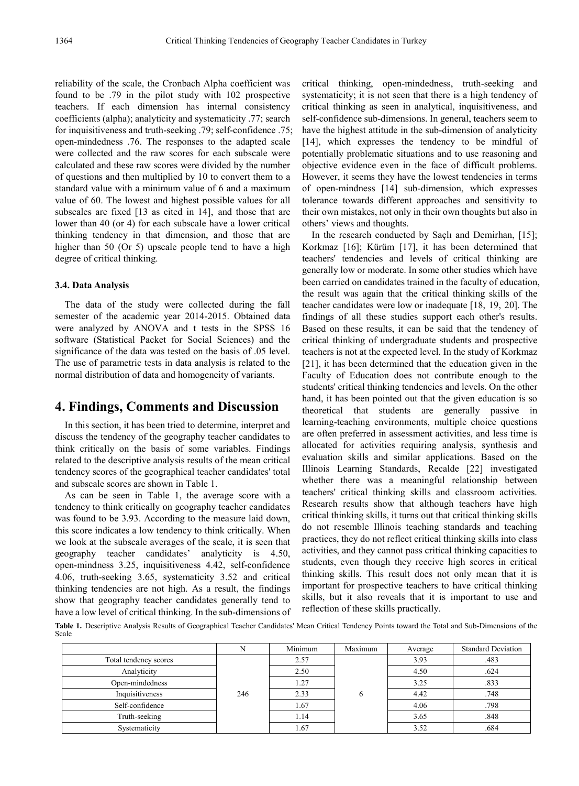reliability of the scale, the Cronbach Alpha coefficient was found to be .79 in the pilot study with 102 prospective teachers. If each dimension has internal consistency coefficients (alpha); analyticity and systematicity .77; search for inquisitiveness and truth-seeking .79; self-confidence .75; open-mindedness .76. The responses to the adapted scale were collected and the raw scores for each subscale were calculated and these raw scores were divided by the number of questions and then multiplied by 10 to convert them to a standard value with a minimum value of 6 and a maximum value of 60. The lowest and highest possible values for all subscales are fixed [13 as cited in 14], and those that are lower than 40 (or 4) for each subscale have a lower critical thinking tendency in that dimension, and those that are higher than 50 (Or 5) upscale people tend to have a high degree of critical thinking.

#### **3.4. Data Analysis**

The data of the study were collected during the fall semester of the academic year 2014-2015. Obtained data were analyzed by ANOVA and t tests in the SPSS 16 software (Statistical Packet for Social Sciences) and the significance of the data was tested on the basis of .05 level. The use of parametric tests in data analysis is related to the normal distribution of data and homogeneity of variants.

## **4. Findings, Comments and Discussion**

In this section, it has been tried to determine, interpret and discuss the tendency of the geography teacher candidates to think critically on the basis of some variables. Findings related to the descriptive analysis results of the mean critical tendency scores of the geographical teacher candidates' total and subscale scores are shown in Table 1.

As can be seen in Table 1, the average score with a tendency to think critically on geography teacher candidates was found to be 3.93. According to the measure laid down, this score indicates a low tendency to think critically. When we look at the subscale averages of the scale, it is seen that geography teacher candidates' analyticity is 4.50, open-mindness 3.25, inquisitiveness 4.42, self-confidence 4.06, truth-seeking 3.65, systematicity 3.52 and critical thinking tendencies are not high. As a result, the findings show that geography teacher candidates generally tend to have a low level of critical thinking. In the sub-dimensions of critical thinking, open-mindedness, truth-seeking and systematicity; it is not seen that there is a high tendency of critical thinking as seen in analytical, inquisitiveness, and self-confidence sub-dimensions. In general, teachers seem to have the highest attitude in the sub-dimension of analyticity [14], which expresses the tendency to be mindful of potentially problematic situations and to use reasoning and objective evidence even in the face of difficult problems. However, it seems they have the lowest tendencies in terms of open-mindness [14] sub-dimension, which expresses tolerance towards different approaches and sensitivity to their own mistakes, not only in their own thoughts but also in others' views and thoughts.

In the research conducted by Saçlı and Demirhan, [15]; Korkmaz [16]; Kürüm [17], it has been determined that teachers' tendencies and levels of critical thinking are generally low or moderate. In some other studies which have been carried on candidates trained in the faculty of education, the result was again that the critical thinking skills of the teacher candidates were low or inadequate [18, 19, 20]. The findings of all these studies support each other's results. Based on these results, it can be said that the tendency of critical thinking of undergraduate students and prospective teachers is not at the expected level. In the study of Korkmaz [21], it has been determined that the education given in the Faculty of Education does not contribute enough to the students' critical thinking tendencies and levels. On the other hand, it has been pointed out that the given education is so theoretical that students are generally passive in learning-teaching environments, multiple choice questions are often preferred in assessment activities, and less time is allocated for activities requiring analysis, synthesis and evaluation skills and similar applications. Based on the Illinois Learning Standards, Recalde [22] investigated whether there was a meaningful relationship between teachers' critical thinking skills and classroom activities. Research results show that although teachers have high critical thinking skills, it turns out that critical thinking skills do not resemble Illinois teaching standards and teaching practices, they do not reflect critical thinking skills into class activities, and they cannot pass critical thinking capacities to students, even though they receive high scores in critical thinking skills. This result does not only mean that it is important for prospective teachers to have critical thinking skills, but it also reveals that it is important to use and reflection of these skills practically.

**Table 1.** Descriptive Analysis Results of Geographical Teacher Candidates' Mean Critical Tendency Points toward the Total and Sub-Dimensions of the Scale

|                       | N   | Minimum | Maximum | Average | <b>Standard Deviation</b> |
|-----------------------|-----|---------|---------|---------|---------------------------|
| Total tendency scores |     | 2.57    |         | 3.93    | .483                      |
| Analyticity           |     | 2.50    |         | 4.50    | .624                      |
| Open-mindedness       |     | 1.27    |         | 3.25    | .833                      |
| Inquisitiveness       | 246 | 2.33    | 6       | 4.42    | .748                      |
| Self-confidence       |     | 1.67    |         | 4.06    | .798                      |
| Truth-seeking         |     | 1.14    |         | 3.65    | .848                      |
| Systematicity         |     | 1.67    |         | 3.52    | .684                      |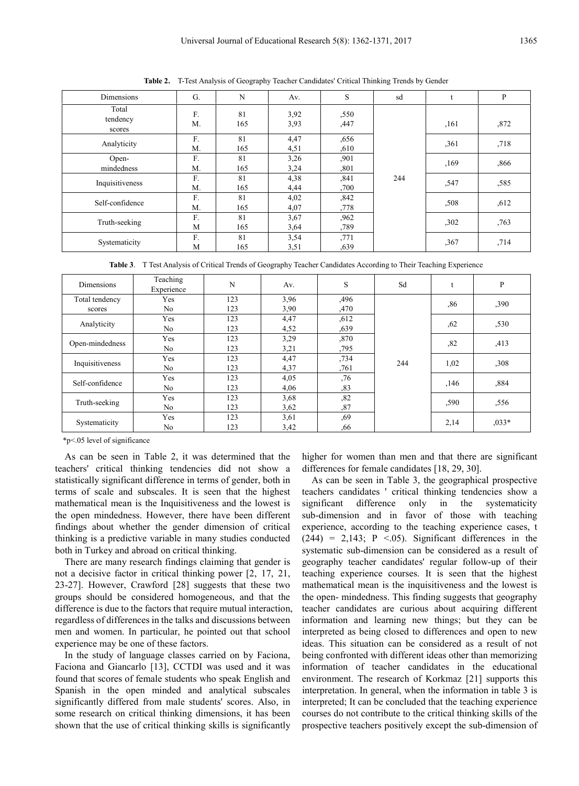| Dimensions                  | G.       | N         | Av.          | S            | sd  |       | P    |
|-----------------------------|----------|-----------|--------------|--------------|-----|-------|------|
| Total<br>tendency<br>scores | F.<br>M. | 81<br>165 | 3,92<br>3,93 | ,550<br>,447 | 244 | , 161 | ,872 |
| Analyticity                 | F.<br>M. | 81<br>165 | 4,47<br>4,51 | ,656<br>,610 |     | ,361  | ,718 |
| Open-<br>mindedness         | F.<br>M. | 81<br>165 | 3,26<br>3,24 | ,901<br>,801 |     | ,169  | ,866 |
| Inquisitiveness             | F.<br>M. | 81<br>165 | 4,38<br>4,44 | ,841<br>,700 |     | ,547  | ,585 |
| Self-confidence             | F.<br>M. | 81<br>165 | 4,02<br>4,07 | ,842<br>.778 |     | .508  | ,612 |
| Truth-seeking               | F.<br>M  | 81<br>165 | 3,67<br>3,64 | ,962<br>,789 |     | ,302  | ,763 |
| Systematicity               | F.<br>M  | 81<br>165 | 3,54<br>3,51 | ,771<br>,639 |     | ,367  | ,714 |

**Table 2.** T-Test Analysis of Geography Teacher Candidates' Critical Thinking Trends by Gender

**Table 3**. T Test Analysis of Critical Trends of Geography Teacher Candidates According to Their Teaching Experience

| Dimensions                               | Teaching<br>Experience | N   | Av.  | S    | Sd  |      | P       |
|------------------------------------------|------------------------|-----|------|------|-----|------|---------|
| Total tendency                           | Yes                    | 123 | 3,96 | ,496 |     | ,86  | ,390    |
| scores                                   | N <sub>o</sub>         | 123 | 3,90 | ,470 |     |      |         |
| Analyticity                              | Yes                    | 123 | 4,47 | ,612 |     | ,62  | ,530    |
|                                          | N <sub>o</sub>         | 123 | 4,52 | ,639 |     |      |         |
| Yes<br>Open-mindedness<br>N <sub>o</sub> |                        | 123 | 3,29 | ,870 |     | ,82  | ,413    |
|                                          |                        | 123 | 3,21 | ,795 |     |      |         |
| Inquisitiveness                          | Yes                    | 123 | 4,47 | ,734 | 244 |      | ,308    |
|                                          | N <sub>o</sub>         | 123 | 4,37 | ,761 |     | 1,02 |         |
| Self-confidence                          | Yes                    | 123 | 4,05 | ,76  |     | ,146 | ,884    |
|                                          | N <sub>o</sub>         | 123 | 4,06 | ,83  |     |      |         |
| Truth-seeking                            | Yes                    | 123 | 3,68 | ,82  |     |      | ,556    |
|                                          | N <sub>o</sub>         | 123 | 3,62 | ,87  |     | ,590 |         |
|                                          | Yes                    | 123 | 3,61 | ,69  |     |      | $.033*$ |
| Systematicity                            | No                     | 123 | 3,42 | ,66  |     | 2,14 |         |

\*p<.05 level of significance

As can be seen in Table 2, it was determined that the teachers' critical thinking tendencies did not show a statistically significant difference in terms of gender, both in terms of scale and subscales. It is seen that the highest mathematical mean is the Inquisitiveness and the lowest is the open mindedness. However, there have been different findings about whether the gender dimension of critical thinking is a predictive variable in many studies conducted both in Turkey and abroad on critical thinking.

There are many research findings claiming that gender is not a decisive factor in critical thinking power [2, 17, 21, 23-27]. However, Crawford [28] suggests that these two groups should be considered homogeneous, and that the difference is due to the factors that require mutual interaction, regardless of differences in the talks and discussions between men and women. In particular, he pointed out that school experience may be one of these factors.

In the study of language classes carried on by Faciona, Faciona and Giancarlo [13], CCTDI was used and it was found that scores of female students who speak English and Spanish in the open minded and analytical subscales significantly differed from male students' scores. Also, in some research on critical thinking dimensions, it has been shown that the use of critical thinking skills is significantly

higher for women than men and that there are significant differences for female candidates [18, 29, 30].

As can be seen in Table 3, the geographical prospective teachers candidates ' critical thinking tendencies show a significant difference only in the systematicity sub-dimension and in favor of those with teaching experience, according to the teaching experience cases, t  $(244)$  = 2,143; P <.05). Significant differences in the systematic sub-dimension can be considered as a result of geography teacher candidates' regular follow-up of their teaching experience courses. It is seen that the highest mathematical mean is the inquisitiveness and the lowest is the open- mindedness. This finding suggests that geography teacher candidates are curious about acquiring different information and learning new things; but they can be interpreted as being closed to differences and open to new ideas. This situation can be considered as a result of not being confronted with different ideas other than memorizing information of teacher candidates in the educational environment. The research of Korkmaz [21] supports this interpretation. In general, when the information in table 3 is interpreted; It can be concluded that the teaching experience courses do not contribute to the critical thinking skills of the prospective teachers positively except the sub-dimension of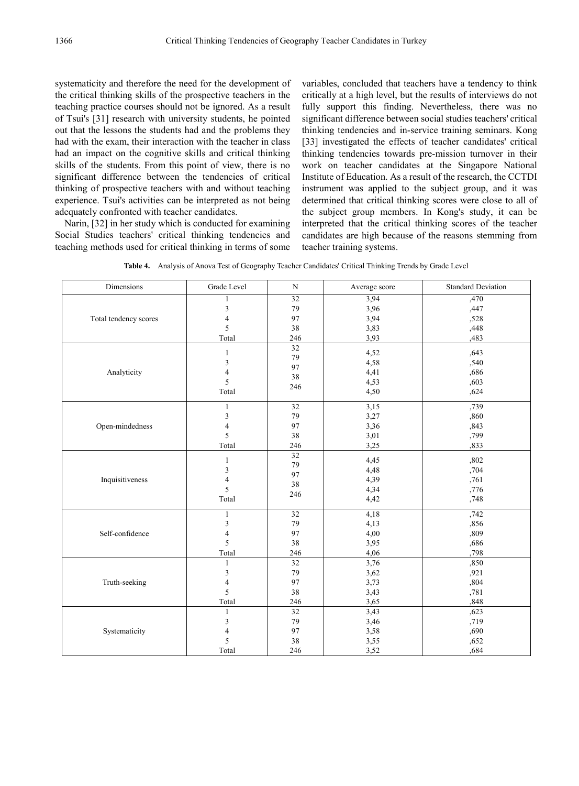systematicity and therefore the need for the development of the critical thinking skills of the prospective teachers in the teaching practice courses should not be ignored. As a result of Tsui's [31] research with university students, he pointed out that the lessons the students had and the problems they had with the exam, their interaction with the teacher in class had an impact on the cognitive skills and critical thinking skills of the students. From this point of view, there is no significant difference between the tendencies of critical thinking of prospective teachers with and without teaching experience. Tsui's activities can be interpreted as not being adequately confronted with teacher candidates.

Narin, [32] in her study which is conducted for examining Social Studies teachers' critical thinking tendencies and teaching methods used for critical thinking in terms of some variables, concluded that teachers have a tendency to think critically at a high level, but the results of interviews do not fully support this finding. Nevertheless, there was no significant difference between social studies teachers' critical thinking tendencies and in-service training seminars. Kong [33] investigated the effects of teacher candidates' critical thinking tendencies towards pre-mission turnover in their work on teacher candidates at the Singapore National Institute of Education. As a result of the research, the CCTDI instrument was applied to the subject group, and it was determined that critical thinking scores were close to all of the subject group members. In Kong's study, it can be interpreted that the critical thinking scores of the teacher candidates are high because of the reasons stemming from teacher training systems.

| Table 4. Analysis of Anova Test of Geography Teacher Candidates' Critical Thinking Trends by Grade Level |
|----------------------------------------------------------------------------------------------------------|
|----------------------------------------------------------------------------------------------------------|

| Dimensions            | Grade Level              | $\mathbf N$     | Average score | <b>Standard Deviation</b> |
|-----------------------|--------------------------|-----------------|---------------|---------------------------|
|                       | 1                        | $\overline{32}$ | 3,94          | ,470                      |
|                       | $\overline{\mathbf{3}}$  | 79              | 3,96          | ,447                      |
| Total tendency scores | $\overline{4}$           | 97              | 3,94          | ,528                      |
|                       | 5                        | 38              | 3,83          | ,448                      |
|                       | Total                    | 246             | 3,93          | ,483                      |
|                       | $\mathbf{1}$             | 32              | 4,52          | ,643                      |
|                       | $\mathfrak z$            | 79              | 4,58          | ,540                      |
| Analyticity           | 4                        | 97              | 4,41          | ,686                      |
|                       | 5                        | 38              | 4,53          | ,603                      |
|                       |                          | 246             |               |                           |
|                       | Total                    |                 | 4,50          | ,624                      |
|                       | $\mathbf{1}$             | 32              | 3,15          | ,739                      |
|                       | $\mathfrak z$            | 79              | 3,27          | ,860                      |
| Open-mindedness       | $\overline{\mathbf{4}}$  | 97              | 3,36          | ,843                      |
|                       | 5                        | 38              | 3,01          | ,799                      |
|                       | Total                    | 246             | 3,25          | ,833                      |
|                       |                          | 32              |               | ,802                      |
|                       | $\mathbf{1}$             | 79              | 4,45          |                           |
|                       | $\overline{\mathbf{3}}$  | 97              | 4,48          | ,704                      |
| Inquisitiveness       | $\overline{\mathcal{L}}$ | 38              | 4,39          | ,761                      |
|                       | 5                        | 246             | 4,34          | ,776                      |
|                       | Total                    |                 | 4,42          | ,748                      |
|                       | $\mathbf{1}$             | 32              | 4,18          | ,742                      |
|                       | 3                        | 79              | 4,13          | ,856                      |
| Self-confidence       | 4                        | 97              | 4,00          | ,809                      |
|                       | 5                        | 38              | 3,95          | ,686                      |
|                       | Total                    | 246             | 4,06          | ,798                      |
|                       | 1                        | 32              | 3,76          | ,850                      |
|                       | $\mathfrak z$            | 79              | 3,62          | ,921                      |
| Truth-seeking         | $\overline{4}$           | 97              | 3,73          | ,804                      |
|                       | 5                        | 38              | 3,43          | ,781                      |
|                       | Total                    | 246             | 3,65          | ,848                      |
|                       | 1                        | 32              | 3,43          | ,623                      |
|                       | 3                        | 79              | 3,46          | ,719                      |
| Systematicity         | 4                        | 97              | 3,58          | ,690                      |
|                       | 5                        | 38              | 3,55          | ,652                      |
|                       | Total                    | 246             | 3,52          | ,684                      |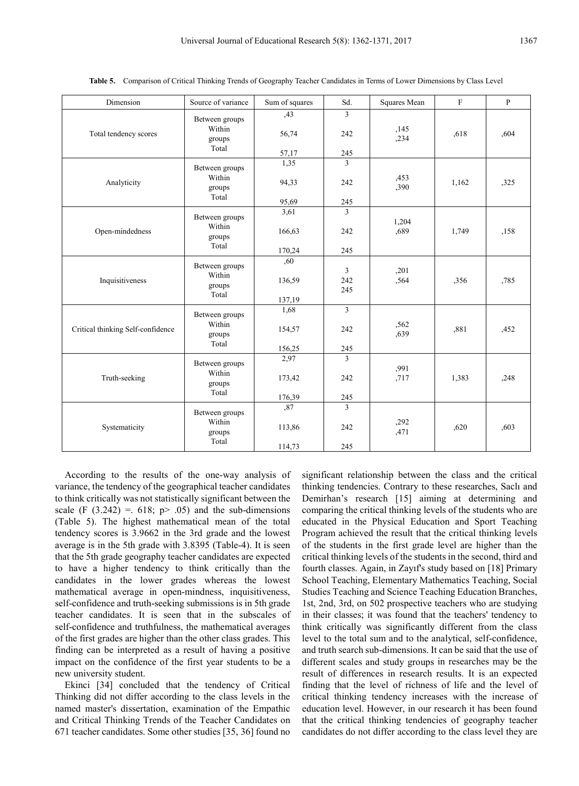| Dimension                         | Source of variance                 | Sum of squares | Sd.                          | Squares Mean  | $\mathbf F$ | $\mathbf{P}$ |
|-----------------------------------|------------------------------------|----------------|------------------------------|---------------|-------------|--------------|
|                                   | Between groups                     | ,43            | 3                            |               |             |              |
| Total tendency scores             | Within<br>groups                   | 56,74          | 242                          | ,145<br>,234  | .618        | ,604         |
|                                   | Total                              | 57,17          | 245                          |               |             |              |
|                                   | Between groups                     | 1,35           | $\overline{3}$               |               |             |              |
| Analyticity                       | Within<br>groups                   | 94,33          | 242                          | ,453<br>,390  | 1,162       | ,325         |
|                                   | Total                              | 95,69          | 245                          |               |             |              |
|                                   | Between groups                     | 3,61           | 3                            |               |             |              |
| Open-mindedness                   | Within<br>groups                   | 166,63         | 242                          | 1,204<br>,689 | 1,749       | ,158         |
|                                   | Total                              | 170,24         | 245                          |               |             |              |
| Inquisitiveness                   | Between groups<br>Within<br>groups | ,60<br>136,59  | $\overline{3}$<br>242<br>245 | ,201<br>,564  | ,356        | ,785         |
|                                   | Total                              | 137,19         |                              |               |             |              |
|                                   | Between groups                     | 1,68           | $\overline{3}$               |               |             |              |
| Critical thinking Self-confidence | Within<br>groups<br>Total          | 154,57         | 242                          | ,562<br>.639  | .881        | ,452         |
|                                   |                                    | 156,25         | 245                          |               |             |              |
| Truth-seeking                     | Between groups<br>Within<br>groups | 2,97<br>173,42 | 3<br>242                     | ,991<br>,717  | 1,383       | ,248         |
|                                   | Total                              |                |                              |               |             |              |
|                                   |                                    | 176,39<br>,87  | 245<br>3                     |               |             |              |
| Systematicity                     | Between groups<br>Within<br>groups | 113,86         | 242                          | ,292<br>,471  | ,620        | ,603         |
|                                   | Total                              | 114,73         | 245                          |               |             |              |

**Table 5.** Comparison of Critical Thinking Trends of Geography Teacher Candidates in Terms of Lower Dimensions by Class Level

According to the results of the one-way analysis of variance, the tendency of the geographical teacher candidates to think critically was not statistically significant between the scale (F  $(3.242) = .618$ ; p> .05) and the sub-dimensions (Table 5). The highest mathematical mean of the total tendency scores is 3.9662 in the 3rd grade and the lowest average is in the 5th grade with 3.8395 (Table-4). It is seen that the 5th grade geography teacher candidates are expected to have a higher tendency to think critically than the candidates in the lower grades whereas the lowest mathematical average in open-mindness, inquisitiveness, self-confidence and truth-seeking submissions is in 5th grade teacher candidates. It is seen that in the subscales of self-confidence and truthfulness, the mathematical averages of the first grades are higher than the other class grades. This finding can be interpreted as a result of having a positive impact on the confidence of the first year students to be a new university student.

Ekinci [34] concluded that the tendency of Critical Thinking did not differ according to the class levels in the named master's dissertation, examination of the Empathic and Critical Thinking Trends of the Teacher Candidates on 671 teacher candidates. Some other studies [35, 36] found no

significant relationship between the class and the critical thinking tendencies. Contrary to these researches, Saclı and Demirhan's research [15] aiming at determining and comparing the critical thinking levels of the students who are educated in the Physical Education and Sport Teaching Program achieved the result that the critical thinking levels of the students in the first grade level are higher than the critical thinking levels of the students in the second, third and fourth classes. Again, in Zayıf's study based on [18] Primary School Teaching, Elementary Mathematics Teaching, Social Studies Teaching and Science Teaching Education Branches, 1st, 2nd, 3rd, on 502 prospective teachers who are studying in their classes; it was found that the teachers' tendency to think critically was significantly different from the class level to the total sum and to the analytical, self-confidence, and truth search sub-dimensions. It can be said that the use of different scales and study groups in researches may be the result of differences in research results. It is an expected finding that the level of richness of life and the level of critical thinking tendency increases with the increase of education level. However, in our research it has been found that the critical thinking tendencies of geography teacher candidates do not differ according to the class level they are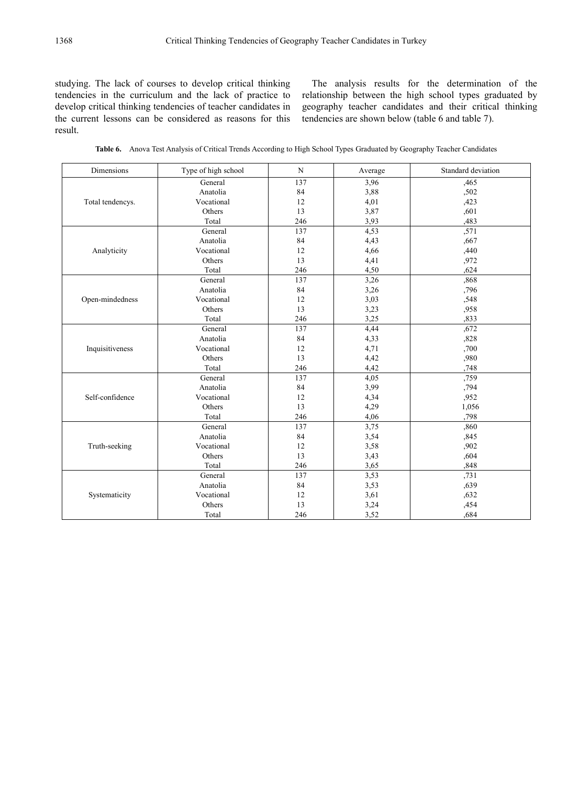studying. The lack of courses to develop critical thinking tendencies in the curriculum and the lack of practice to develop critical thinking tendencies of teacher candidates in the current lessons can be considered as reasons for this result.

The analysis results for the determination of the relationship between the high school types graduated by geography teacher candidates and their critical thinking tendencies are shown below (table 6 and table 7).

**Table 6.** Anova Test Analysis of Critical Trends According to High School Types Graduated by Geography Teacher Candidates

| Dimensions       | Type of high school | N   | Average | Standard deviation |
|------------------|---------------------|-----|---------|--------------------|
|                  | General             | 137 | 3,96    | ,465               |
|                  | Anatolia            | 84  | 3,88    | ,502               |
| Total tendencys. | Vocational          | 12  | 4,01    | ,423               |
|                  | Others              | 13  | 3,87    | ,601               |
|                  | Total               | 246 | 3,93    | ,483               |
|                  | General             | 137 | 4,53    | ,571               |
|                  | Anatolia            | 84  | 4,43    | ,667               |
| Analyticity      | Vocational          | 12  | 4,66    | ,440               |
|                  | Others              | 13  | 4,41    | ,972               |
|                  | Total               | 246 | 4,50    | ,624               |
|                  | General             | 137 | 3,26    | ,868               |
|                  | Anatolia            | 84  | 3,26    | ,796               |
| Open-mindedness  | Vocational          | 12  | 3,03    | ,548               |
|                  | Others              | 13  | 3,23    | ,958               |
|                  | Total               | 246 | 3,25    | .833               |
|                  | General             | 137 | 4,44    | ,672               |
|                  | Anatolia            | 84  | 4,33    | ,828               |
| Inquisitiveness  | Vocational          | 12  | 4,71    | ,700               |
|                  | Others              | 13  | 4,42    | ,980               |
|                  | Total               | 246 | 4,42    | ,748               |
|                  | General             | 137 | 4,05    | ,759               |
|                  | Anatolia            | 84  | 3,99    | ,794               |
| Self-confidence  | Vocational          | 12  | 4,34    | ,952               |
|                  | Others              | 13  | 4,29    | 1,056              |
|                  | Total               | 246 | 4,06    | .798               |
|                  | General             | 137 | 3,75    | ,860               |
|                  | Anatolia            | 84  | 3,54    | ,845               |
| Truth-seeking    | Vocational          | 12  | 3,58    | ,902               |
|                  | Others              | 13  | 3,43    | ,604               |
|                  | Total               | 246 | 3,65    | ,848               |
|                  | General             | 137 | 3,53    | ,731               |
|                  | Anatolia            | 84  | 3,53    | ,639               |
| Systematicity    | Vocational          | 12  | 3,61    | ,632               |
|                  | Others              | 13  | 3,24    | ,454               |
|                  | Total               | 246 | 3,52    | .684               |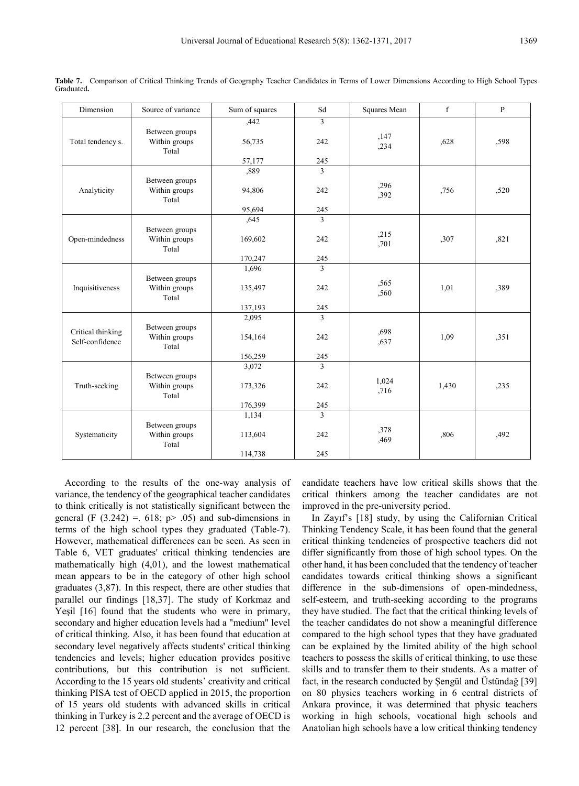| Dimension                            | Source of variance                       | Sum of squares | Sd             | Squares Mean  | f     | $\mathbf{P}$ |
|--------------------------------------|------------------------------------------|----------------|----------------|---------------|-------|--------------|
|                                      |                                          | ,442           | 3              |               |       |              |
| Total tendency s.                    | Between groups<br>Within groups<br>Total | 56,735         | 242            | ,147<br>,234  | .628  | ,598         |
|                                      |                                          | 57,177         | 245            |               |       |              |
|                                      |                                          | ,889           | 3              |               |       |              |
| Analyticity                          | Between groups<br>Within groups<br>Total | 94,806         | 242            | ,296<br>,392  | ,756  | ,520         |
|                                      |                                          | 95,694         | 245            |               |       |              |
|                                      |                                          | .645           | $\overline{3}$ |               |       |              |
| Open-mindedness                      | Between groups<br>Within groups<br>Total | 169,602        | 242            | ,215<br>,701  | ,307  | ,821         |
|                                      |                                          | 170,247        | 245            |               |       |              |
|                                      |                                          | 1,696          | 3              |               |       |              |
| Inquisitiveness                      | Between groups<br>Within groups<br>Total | 135,497        | 242            | ,565<br>,560  | 1,01  | ,389         |
|                                      |                                          | 137,193        | 245            |               |       |              |
|                                      |                                          | 2,095          | 3              |               |       |              |
| Critical thinking<br>Self-confidence | Between groups<br>Within groups<br>Total | 154,164        | 242            | ,698<br>,637  | 1,09  | ,351         |
|                                      |                                          | 156,259        | 245            |               |       |              |
|                                      |                                          | 3,072          | $\mathbf{3}$   |               |       |              |
| Truth-seeking                        | Between groups<br>Within groups<br>Total | 173,326        | 242            | 1,024<br>,716 | 1,430 | ,235         |
|                                      |                                          | 176,399        | 245            |               |       |              |
|                                      |                                          | 1,134          | 3              |               |       |              |
| Systematicity                        | Between groups<br>Within groups<br>Total | 113,604        | 242            | ,378<br>,469  | ,806  | ,492         |
|                                      |                                          | 114,738        | 245            |               |       |              |

**Table 7.** Comparison of Critical Thinking Trends of Geography Teacher Candidates in Terms of Lower Dimensions According to High School Types Graduated**.**

According to the results of the one-way analysis of variance, the tendency of the geographical teacher candidates to think critically is not statistically significant between the general (F  $(3.242) = 618$ ; p> .05) and sub-dimensions in terms of the high school types they graduated (Table-7). However, mathematical differences can be seen. As seen in Table 6, VET graduates' critical thinking tendencies are mathematically high (4,01), and the lowest mathematical mean appears to be in the category of other high school graduates (3,87). In this respect, there are other studies that parallel our findings [18,37]. The study of Korkmaz and Yeşil [16] found that the students who were in primary, secondary and higher education levels had a "medium" level of critical thinking. Also, it has been found that education at secondary level negatively affects students' critical thinking tendencies and levels; higher education provides positive contributions, but this contribution is not sufficient. According to the 15 years old students' creativity and critical thinking PISA test of OECD applied in 2015, the proportion of 15 years old students with advanced skills in critical thinking in Turkey is 2.2 percent and the average of OECD is 12 percent [38]. In our research, the conclusion that the

candidate teachers have low critical skills shows that the critical thinkers among the teacher candidates are not improved in the pre-university period.

In Zayıf's [18] study, by using the Californian Critical Thinking Tendency Scale, it has been found that the general critical thinking tendencies of prospective teachers did not differ significantly from those of high school types. On the other hand, it has been concluded that the tendency of teacher candidates towards critical thinking shows a significant difference in the sub-dimensions of open-mindedness, self-esteem, and truth-seeking according to the programs they have studied. The fact that the critical thinking levels of the teacher candidates do not show a meaningful difference compared to the high school types that they have graduated can be explained by the limited ability of the high school teachers to possess the skills of critical thinking, to use these skills and to transfer them to their students. As a matter of fact, in the research conducted by Şengül and Üstündağ [39] on 80 physics teachers working in 6 central districts of Ankara province, it was determined that physic teachers working in high schools, vocational high schools and Anatolian high schools have a low critical thinking tendency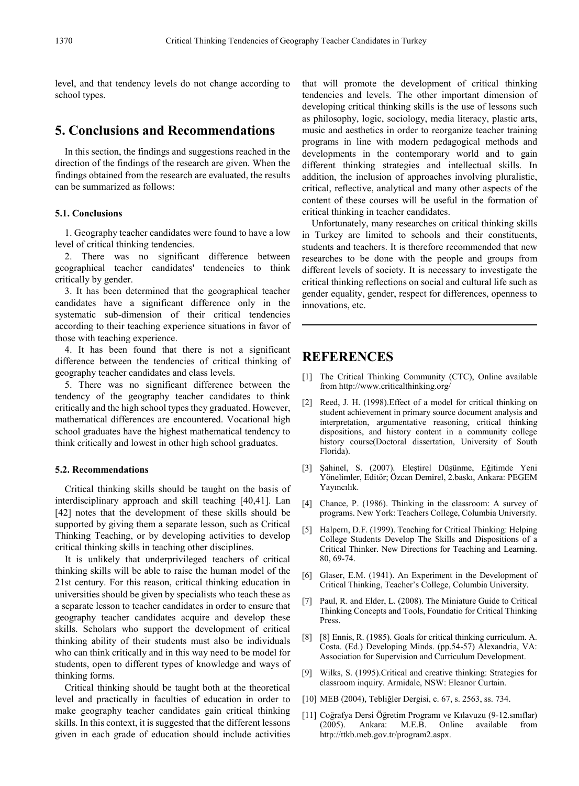level, and that tendency levels do not change according to school types.

## **5. Conclusions and Recommendations**

In this section, the findings and suggestions reached in the direction of the findings of the research are given. When the findings obtained from the research are evaluated, the results can be summarized as follows:

#### **5.1. Conclusions**

1. Geography teacher candidates were found to have a low level of critical thinking tendencies.

2. There was no significant difference between geographical teacher candidates' tendencies to think critically by gender.

3. It has been determined that the geographical teacher candidates have a significant difference only in the systematic sub-dimension of their critical tendencies according to their teaching experience situations in favor of those with teaching experience.

4. It has been found that there is not a significant difference between the tendencies of critical thinking of geography teacher candidates and class levels.

5. There was no significant difference between the tendency of the geography teacher candidates to think critically and the high school types they graduated. However, mathematical differences are encountered. Vocational high school graduates have the highest mathematical tendency to think critically and lowest in other high school graduates.

#### **5.2. Recommendations**

Critical thinking skills should be taught on the basis of interdisciplinary approach and skill teaching [40,41]. Lan [42] notes that the development of these skills should be supported by giving them a separate lesson, such as Critical Thinking Teaching, or by developing activities to develop critical thinking skills in teaching other disciplines.

It is unlikely that underprivileged teachers of critical thinking skills will be able to raise the human model of the 21st century. For this reason, critical thinking education in universities should be given by specialists who teach these as a separate lesson to teacher candidates in order to ensure that geography teacher candidates acquire and develop these skills. Scholars who support the development of critical thinking ability of their students must also be individuals who can think critically and in this way need to be model for students, open to different types of knowledge and ways of thinking forms.

Critical thinking should be taught both at the theoretical level and practically in faculties of education in order to make geography teacher candidates gain critical thinking skills. In this context, it is suggested that the different lessons given in each grade of education should include activities that will promote the development of critical thinking tendencies and levels. The other important dimension of developing critical thinking skills is the use of lessons such as philosophy, logic, sociology, media literacy, plastic arts, music and aesthetics in order to reorganize teacher training programs in line with modern pedagogical methods and developments in the contemporary world and to gain different thinking strategies and intellectual skills. In addition, the inclusion of approaches involving pluralistic, critical, reflective, analytical and many other aspects of the content of these courses will be useful in the formation of critical thinking in teacher candidates.

Unfortunately, many researches on critical thinking skills in Turkey are limited to schools and their constituents, students and teachers. It is therefore recommended that new researches to be done with the people and groups from different levels of society. It is necessary to investigate the critical thinking reflections on social and cultural life such as gender equality, gender, respect for differences, openness to innovations, etc.

# **REFERENCES**

- [1] The Critical Thinking Community (CTC), Online available from http://www.criticalthinking.org/
- [2] Reed, J. H. (1998).Effect of a model for critical thinking on student achievement in primary source document analysis and interpretation, argumentative reasoning, critical thinking dispositions, and history content in a community college history course(Doctoral dissertation, University of South Florida).
- [3] Şahinel, S. (2007). Eleştirel Düşünme, Eğitimde Yeni Yönelimler, Editör; Özcan Demirel, 2.baskı, Ankara: PEGEM Yayıncılık.
- [4] Chance, P. (1986). Thinking in the classroom: A survey of programs. New York: Teachers College, Columbia University.
- [5] Halpern, D.F. (1999). Teaching for Critical Thinking: Helping College Students Develop The Skills and Dispositions of a Critical Thinker. New Directions for Teaching and Learning. 80, 69-74.
- [6] Glaser, E.M. (1941). An Experiment in the Development of Critical Thinking, Teacher's College, Columbia University.
- [7] Paul, R. and Elder, L. (2008). The Miniature Guide to Critical Thinking Concepts and Tools, Foundatio for Critical Thinking Press.
- [8] [8] Ennis, R. (1985). Goals for critical thinking curriculum. A. Costa. (Ed.) Developing Minds. (pp.54-57) Alexandria, VA: Association for Supervision and Curriculum Development.
- [9] Wilks, S. (1995).Critical and creative thinking: Strategies for classroom inquiry. Armidale, NSW: Eleanor Curtain.
- [10] MEB (2004), Tebliğler Dergisi, c. 67, s. 2563, ss. 734.
- [11] Coğrafya Dersi Öğretim Programı ve Kılavuzu (9-12.sınıflar) (2005). Ankara: M.E.B. Online available from http://ttkb.meb.gov.tr/program2.aspx.